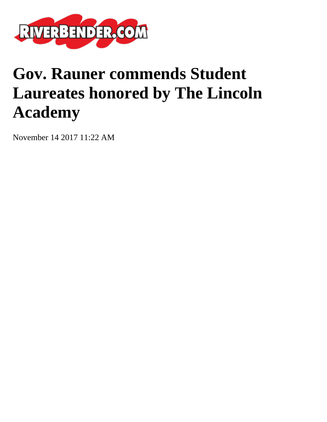

## **Gov. Rauner commends Student Laureates honored by The Lincoln Academy**

November 14 2017 11:22 AM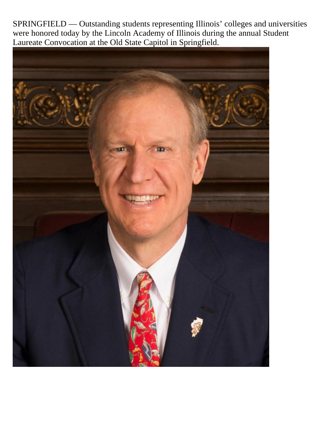SPRINGFIELD — Outstanding students representing Illinois' colleges and universities were honored today by the Lincoln Academy of Illinois during the annual Student Laureate Convocation at the Old State Capitol in Springfield.

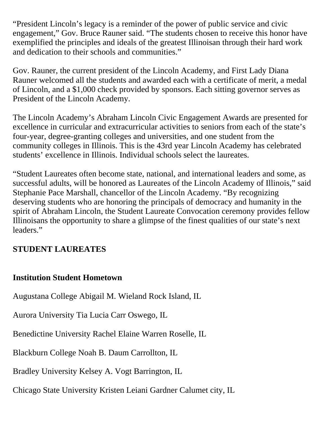"President Lincoln's legacy is a reminder of the power of public service and civic engagement," Gov. Bruce Rauner said. "The students chosen to receive this honor have exemplified the principles and ideals of the greatest Illinoisan through their hard work and dedication to their schools and communities."

Gov. Rauner, the current president of the Lincoln Academy, and First Lady Diana Rauner welcomed all the students and awarded each with a certificate of merit, a medal of Lincoln, and a \$1,000 check provided by sponsors. Each sitting governor serves as President of the Lincoln Academy.

The Lincoln Academy's Abraham Lincoln Civic Engagement Awards are presented for excellence in curricular and extracurricular activities to seniors from each of the state's four-year, degree-granting colleges and universities, and one student from the community colleges in Illinois. This is the 43rd year Lincoln Academy has celebrated students' excellence in Illinois. Individual schools select the laureates.

"Student Laureates often become state, national, and international leaders and some, as successful adults, will be honored as Laureates of the Lincoln Academy of Illinois," said Stephanie Pace Marshall, chancellor of the Lincoln Academy. "By recognizing deserving students who are honoring the principals of democracy and humanity in the spirit of Abraham Lincoln, the Student Laureate Convocation ceremony provides fellow Illinoisans the opportunity to share a glimpse of the finest qualities of our state's next leaders."

## **STUDENT LAUREATES**

## **Institution Student Hometown**

Augustana College Abigail M. Wieland Rock Island, IL

Aurora University Tia Lucia Carr Oswego, IL

Benedictine University Rachel Elaine Warren Roselle, IL

Blackburn College Noah B. Daum Carrollton, IL

Bradley University Kelsey A. Vogt Barrington, IL

Chicago State University Kristen Leiani Gardner Calumet city, IL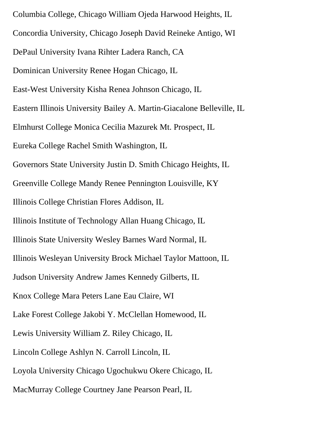Columbia College, Chicago William Ojeda Harwood Heights, IL Concordia University, Chicago Joseph David Reineke Antigo, WI DePaul University Ivana Rihter Ladera Ranch, CA Dominican University Renee Hogan Chicago, IL East-West University Kisha Renea Johnson Chicago, IL Eastern Illinois University Bailey A. Martin-Giacalone Belleville, IL Elmhurst College Monica Cecilia Mazurek Mt. Prospect, IL Eureka College Rachel Smith Washington, IL Governors State University Justin D. Smith Chicago Heights, IL Greenville College Mandy Renee Pennington Louisville, KY Illinois College Christian Flores Addison, IL Illinois Institute of Technology Allan Huang Chicago, IL Illinois State University Wesley Barnes Ward Normal, IL Illinois Wesleyan University Brock Michael Taylor Mattoon, IL Judson University Andrew James Kennedy Gilberts, IL Knox College Mara Peters Lane Eau Claire, WI Lake Forest College Jakobi Y. McClellan Homewood, IL Lewis University William Z. Riley Chicago, IL Lincoln College Ashlyn N. Carroll Lincoln, IL Loyola University Chicago Ugochukwu Okere Chicago, IL MacMurray College Courtney Jane Pearson Pearl, IL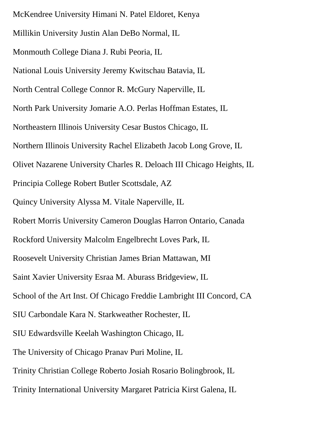McKendree University Himani N. Patel Eldoret, Kenya Millikin University Justin Alan DeBo Normal, IL Monmouth College Diana J. Rubi Peoria, IL National Louis University Jeremy Kwitschau Batavia, IL North Central College Connor R. McGury Naperville, IL North Park University Jomarie A.O. Perlas Hoffman Estates, IL Northeastern Illinois University Cesar Bustos Chicago, IL Northern Illinois University Rachel Elizabeth Jacob Long Grove, IL Olivet Nazarene University Charles R. Deloach III Chicago Heights, IL Principia College Robert Butler Scottsdale, AZ Quincy University Alyssa M. Vitale Naperville, IL Robert Morris University Cameron Douglas Harron Ontario, Canada Rockford University Malcolm Engelbrecht Loves Park, IL Roosevelt University Christian James Brian Mattawan, MI Saint Xavier University Esraa M. Aburass Bridgeview, IL School of the Art Inst. Of Chicago Freddie Lambright III Concord, CA SIU Carbondale Kara N. Starkweather Rochester, IL SIU Edwardsville Keelah Washington Chicago, IL The University of Chicago Pranav Puri Moline, IL Trinity Christian College Roberto Josiah Rosario Bolingbrook, IL Trinity International University Margaret Patricia Kirst Galena, IL